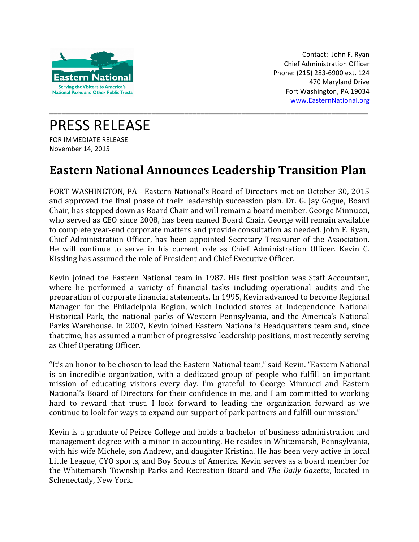

Contact: John F. Ryan Chief Administration Officer Phone: (215) 283-6900 ext. 124 470 Maryland Drive Fort Washington, PA 19034 www.EasternNational.org

PRESS RELEASE FOR IMMEDIATE RELEASE November 14, 2015

## **Eastern National Announces Leadership Transition Plan**

\_\_\_\_\_\_\_\_\_\_\_\_\_\_\_\_\_\_\_\_\_\_\_\_\_\_\_\_\_\_\_\_\_\_\_\_\_\_\_\_\_\_\_\_\_\_\_\_\_\_\_\_\_\_\_\_\_\_\_\_\_\_\_\_\_\_\_\_\_\_\_\_\_\_\_\_\_\_

FORT WASHINGTON, PA - Eastern National's Board of Directors met on October 30, 2015 and approved the final phase of their leadership succession plan. Dr. G. Jay Gogue, Board Chair, has stepped down as Board Chair and will remain a board member. George Minnucci, who served as CEO since 2008, has been named Board Chair. George will remain available to complete year-end corporate matters and provide consultation as needed. John F. Ryan, Chief Administration Officer, has been appointed Secretary-Treasurer of the Association. He will continue to serve in his current role as Chief Administration Officer. Kevin C. Kissling has assumed the role of President and Chief Executive Officer.

Kevin joined the Eastern National team in 1987. His first position was Staff Accountant, where he performed a variety of financial tasks including operational audits and the preparation of corporate financial statements. In 1995, Kevin advanced to become Regional Manager for the Philadelphia Region, which included stores at Independence National Historical Park, the national parks of Western Pennsylvania, and the America's National Parks Warehouse. In 2007, Kevin joined Eastern National's Headquarters team and, since that time, has assumed a number of progressive leadership positions, most recently serving as Chief Operating Officer.

"It's an honor to be chosen to lead the Eastern National team," said Kevin. "Eastern National is an incredible organization, with a dedicated group of people who fulfill an important mission of educating visitors every day. I'm grateful to George Minnucci and Eastern National's Board of Directors for their confidence in me, and I am committed to working hard to reward that trust. I look forward to leading the organization forward as we continue to look for ways to expand our support of park partners and fulfill our mission."

Kevin is a graduate of Peirce College and holds a bachelor of business administration and management degree with a minor in accounting. He resides in Whitemarsh, Pennsylvania, with his wife Michele, son Andrew, and daughter Kristina. He has been very active in local Little League, CYO sports, and Boy Scouts of America. Kevin serves as a board member for the Whitemarsh Township Parks and Recreation Board and *The Daily Gazette*, located in Schenectady, New York.